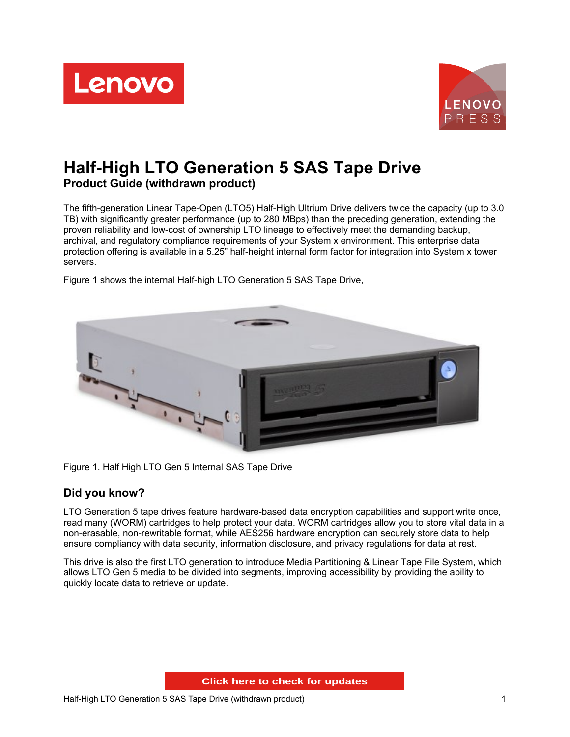



# **Half-High LTO Generation 5 SAS Tape Drive Product Guide (withdrawn product)**

The fifth-generation Linear Tape-Open (LTO5) Half-High Ultrium Drive delivers twice the capacity (up to 3.0 TB) with significantly greater performance (up to 280 MBps) than the preceding generation, extending the proven reliability and low-cost of ownership LTO lineage to effectively meet the demanding backup, archival, and regulatory compliance requirements of your System x environment. This enterprise data protection offering is available in a 5.25" half-height internal form factor for integration into System x tower servers.



Figure 1 shows the internal Half-high LTO Generation 5 SAS Tape Drive,

Figure 1. Half High LTO Gen 5 Internal SAS Tape Drive

### **Did you know?**

LTO Generation 5 tape drives feature hardware-based data encryption capabilities and support write once, read many (WORM) cartridges to help protect your data. WORM cartridges allow you to store vital data in a non-erasable, non-rewritable format, while AES256 hardware encryption can securely store data to help ensure compliancy with data security, information disclosure, and privacy regulations for data at rest.

This drive is also the first LTO generation to introduce Media Partitioning & Linear Tape File System, which allows LTO Gen 5 media to be divided into segments, improving accessibility by providing the ability to quickly locate data to retrieve or update.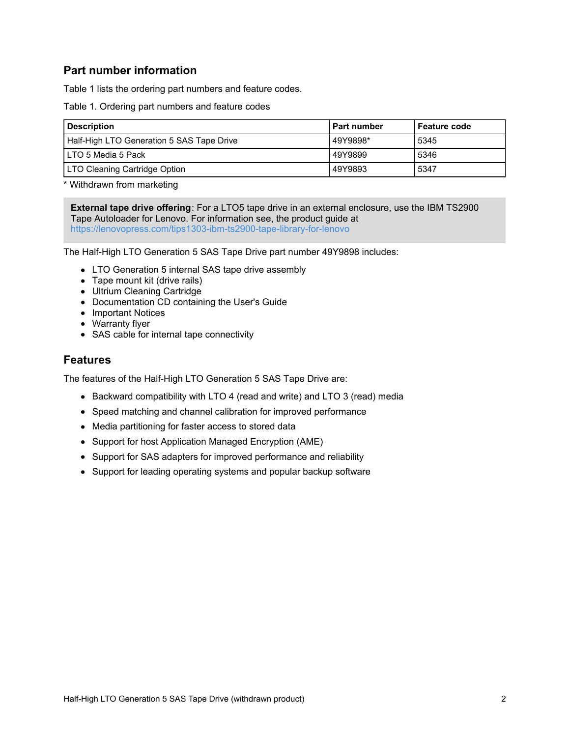### **Part number information**

Table 1 lists the ordering part numbers and feature codes.

Table 1. Ordering part numbers and feature codes

| <b>Description</b>                        | <b>Part number</b> | l Feature code |  |  |  |  |
|-------------------------------------------|--------------------|----------------|--|--|--|--|
| Half-High LTO Generation 5 SAS Tape Drive | 49Y9898*           | 5345           |  |  |  |  |
| I LTO 5 Media 5 Pack                      | 49Y9899            | 5346           |  |  |  |  |
| LTO Cleaning Cartridge Option             | 49Y9893            | 5347           |  |  |  |  |

\* Withdrawn from marketing

**External tape drive offering**: For a LTO5 tape drive in an external enclosure, use the IBM TS2900 Tape Autoloader for Lenovo. For information see, the product guide at <https://lenovopress.com/tips1303-ibm-ts2900-tape-library-for-lenovo>

The Half-High LTO Generation 5 SAS Tape Drive part number 49Y9898 includes:

- LTO Generation 5 internal SAS tape drive assembly
- Tape mount kit (drive rails)
- Ultrium Cleaning Cartridge
- Documentation CD containing the User's Guide
- Important Notices
- Warranty flyer
- SAS cable for internal tape connectivity

### **Features**

The features of the Half-High LTO Generation 5 SAS Tape Drive are:

- Backward compatibility with LTO 4 (read and write) and LTO 3 (read) media
- Speed matching and channel calibration for improved performance
- Media partitioning for faster access to stored data
- Support for host Application Managed Encryption (AME)
- Support for SAS adapters for improved performance and reliability
- Support for leading operating systems and popular backup software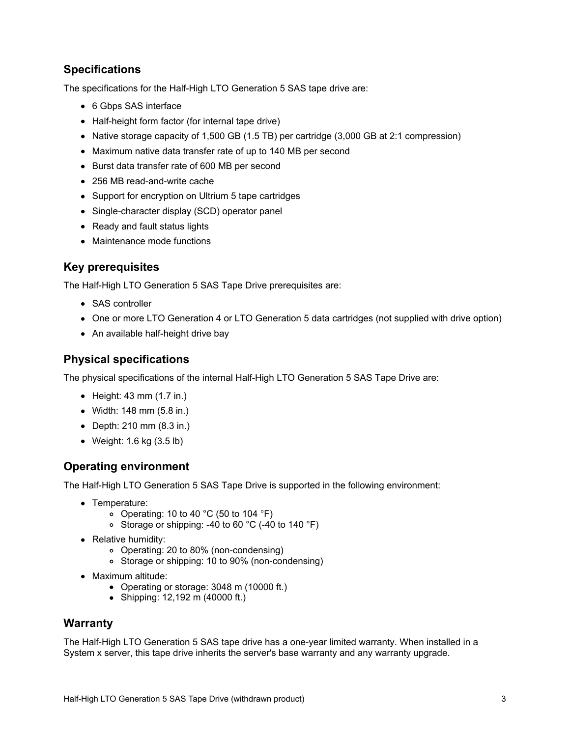## **Specifications**

The specifications for the Half-High LTO Generation 5 SAS tape drive are:

- 6 Gbps SAS interface
- Half-height form factor (for internal tape drive)
- Native storage capacity of 1,500 GB (1.5 TB) per cartridge (3,000 GB at 2:1 compression)
- Maximum native data transfer rate of up to 140 MB per second
- Burst data transfer rate of 600 MB per second
- 256 MB read-and-write cache
- Support for encryption on Ultrium 5 tape cartridges
- Single-character display (SCD) operator panel
- Ready and fault status lights
- Maintenance mode functions

### **Key prerequisites**

The Half-High LTO Generation 5 SAS Tape Drive prerequisites are:

- SAS controller
- One or more LTO Generation 4 or LTO Generation 5 data cartridges (not supplied with drive option)
- An available half-height drive bay

### **Physical specifications**

The physical specifications of the internal Half-High LTO Generation 5 SAS Tape Drive are:

- $\bullet$  Height: 43 mm (1.7 in.)
- Width: 148 mm (5.8 in.)
- Depth: 210 mm (8.3 in.)
- Weight: 1.6 kg (3.5 lb)

### **Operating environment**

The Half-High LTO Generation 5 SAS Tape Drive is supported in the following environment:

- Temperature:
	- o Operating: 10 to 40  $^{\circ}$ C (50 to 104  $^{\circ}$ F)
	- Storage or shipping: -40 to 60 °C (-40 to 140 °F)
- Relative humidity:
	- Operating: 20 to 80% (non-condensing)
	- Storage or shipping: 10 to 90% (non-condensing)
- Maximum altitude:
	- Operating or storage: 3048 m (10000 ft.)
	- Shipping: 12,192 m (40000 ft.)

### **Warranty**

The Half-High LTO Generation 5 SAS tape drive has a one-year limited warranty. When installed in a System x server, this tape drive inherits the server's base warranty and any warranty upgrade.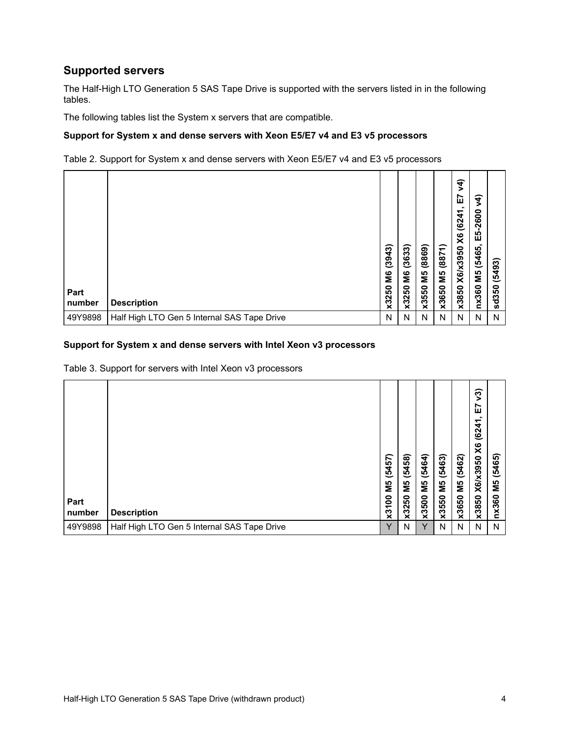### **Supported servers**

The Half-High LTO Generation 5 SAS Tape Drive is supported with the servers listed in in the following tables.

The following tables list the System x servers that are compatible.

#### **Support for System x and dense servers with Xeon E5/E7 v4 and E3 v5 processors**

Table 2. Support for System x and dense servers with Xeon E5/E7 v4 and E3 v5 processors

| Part<br>number | <b>Description</b>                          | (3943)<br>ŠЯ<br>50<br>x32 | (3633)<br>۱6<br>x3250 | (8869)<br>SM<br><b>SO</b><br>x35 | (8871)<br>ΣM<br>x3650 | $\hat{+}$<br>⋗<br>∼<br>ш<br>᠆<br>(624)<br>$\times$<br>X6/x3950<br>x3850 | रे<br>$-2600$<br>E5<br>(5465.<br>ΣМ<br>nx360 | 493)<br>ΙÔ,<br>ន<br>sd <sub>3</sub> |
|----------------|---------------------------------------------|---------------------------|-----------------------|----------------------------------|-----------------------|-------------------------------------------------------------------------|----------------------------------------------|-------------------------------------|
| 49Y9898        | Half High LTO Gen 5 Internal SAS Tape Drive | Ν                         | N                     | N                                | N                     | N                                                                       | N                                            | N                                   |

#### **Support for System x and dense servers with Intel Xeon v3 processors**

Table 3. Support for servers with Intel Xeon v3 processors

| Part<br>number | <b>Description</b>                          | (5457)<br>М5<br>8<br>x31 | (5458)<br>ΣМ<br>x3250 | (5464)<br>ΜS<br>x3500 | (5463)<br>ΣМ<br>x3550 | (5462)<br>ŠМ<br>x3650 | ନ୍ତି<br><u>7</u><br>(6241)<br>$\times$<br>X6/x3950<br>x3850 | (5465)<br>ΣM<br>nx360 |
|----------------|---------------------------------------------|--------------------------|-----------------------|-----------------------|-----------------------|-----------------------|-------------------------------------------------------------|-----------------------|
| 49Y9898        | Half High LTO Gen 5 Internal SAS Tape Drive | $\checkmark$             | N                     | v                     | N                     | N                     | N                                                           | N                     |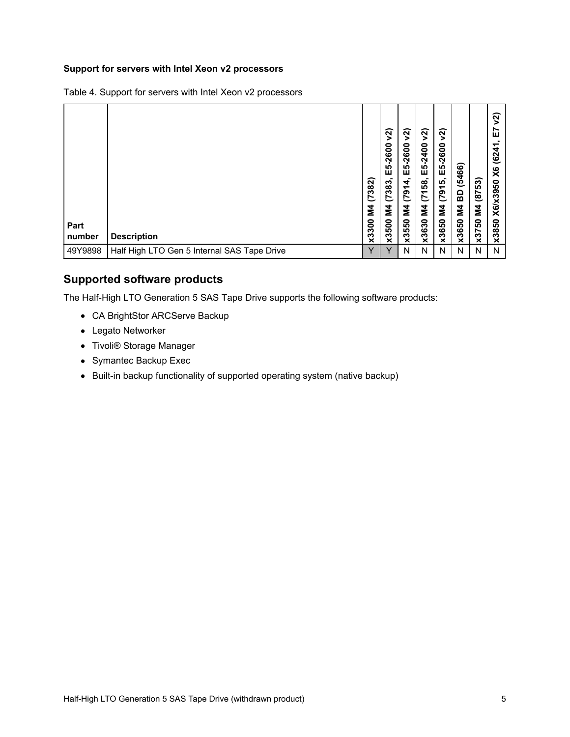#### **Support for servers with Intel Xeon v2 processors**

| Part<br>number | <b>Description</b>                          | (7382)<br>Σđ<br>x3300 | ମ୍ଭ<br>$-2600$<br>LÒ,<br>ш<br>(7383,<br>Σ<br>500<br>ΧÖ | $\widetilde{\mathbf{z}}$<br>5-2600<br>ш<br>(7914,<br>Σ<br>x3550 | ମ୍ବ<br>$-2400$<br>LÒ,<br>ш<br>$\overline{58}$<br>$\overline{5}$<br>Σ<br>x3630 | $\widetilde{\mathbf{z}}$<br>5-2600<br>ш<br>ທົ<br>(791)<br>Σ<br>x3650 | (5466)<br>ဥ္သ<br>Σ<br>x3650 | 53)<br>$\overline{87}$<br>Σ<br>x3750 | ส<br>ш<br><u>(62</u><br>X6<br>ន<br>X6/x39<br>x3850 |
|----------------|---------------------------------------------|-----------------------|--------------------------------------------------------|-----------------------------------------------------------------|-------------------------------------------------------------------------------|----------------------------------------------------------------------|-----------------------------|--------------------------------------|----------------------------------------------------|
| 49Y9898        | Half High LTO Gen 5 Internal SAS Tape Drive | Υ                     | v                                                      | N                                                               | N                                                                             | N                                                                    | N                           | N                                    | N                                                  |

Table 4. Support for servers with Intel Xeon v2 processors

### **Supported software products**

The Half-High LTO Generation 5 SAS Tape Drive supports the following software products:

- CA BrightStor ARCServe Backup
- Legato Networker
- Tivoli® Storage Manager
- Symantec Backup Exec
- Built-in backup functionality of supported operating system (native backup)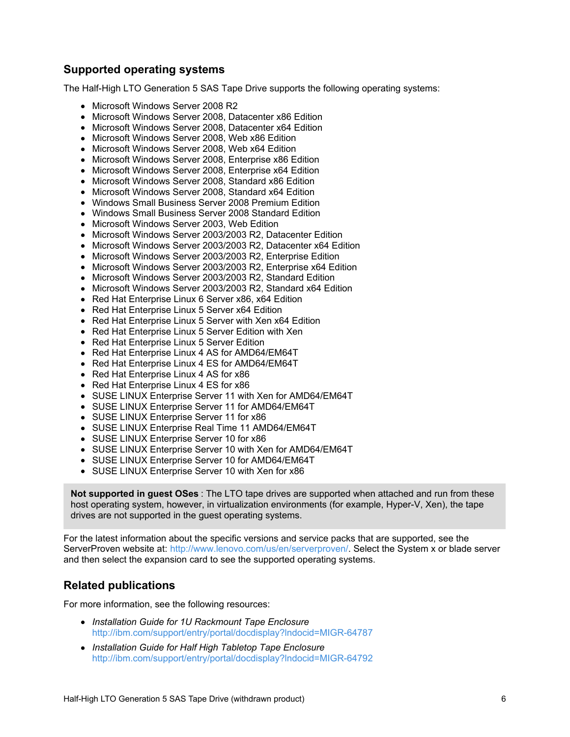### **Supported operating systems**

The Half-High LTO Generation 5 SAS Tape Drive supports the following operating systems:

- Microsoft Windows Server 2008 R2
- Microsoft Windows Server 2008, Datacenter x86 Edition
- Microsoft Windows Server 2008, Datacenter x64 Edition
- Microsoft Windows Server 2008, Web x86 Edition
- Microsoft Windows Server 2008, Web x64 Edition
- Microsoft Windows Server 2008, Enterprise x86 Edition
- Microsoft Windows Server 2008, Enterprise x64 Edition
- Microsoft Windows Server 2008, Standard x86 Edition
- Microsoft Windows Server 2008, Standard x64 Edition
- Windows Small Business Server 2008 Premium Edition
- Windows Small Business Server 2008 Standard Edition
- Microsoft Windows Server 2003, Web Edition
- Microsoft Windows Server 2003/2003 R2, Datacenter Edition
- Microsoft Windows Server 2003/2003 R2, Datacenter x64 Edition
- Microsoft Windows Server 2003/2003 R2, Enterprise Edition
- Microsoft Windows Server 2003/2003 R2, Enterprise x64 Edition
- Microsoft Windows Server 2003/2003 R2, Standard Edition
- Microsoft Windows Server 2003/2003 R2, Standard x64 Edition
- Red Hat Enterprise Linux 6 Server x86, x64 Edition
- Red Hat Enterprise Linux 5 Server x64 Edition
- Red Hat Enterprise Linux 5 Server with Xen x64 Edition
- Red Hat Enterprise Linux 5 Server Edition with Xen
- Red Hat Enterprise Linux 5 Server Edition
- Red Hat Enterprise Linux 4 AS for AMD64/EM64T
- Red Hat Enterprise Linux 4 ES for AMD64/EM64T
- Red Hat Enterprise Linux 4 AS for x86
- Red Hat Enterprise Linux 4 ES for x86
- SUSE LINUX Enterprise Server 11 with Xen for AMD64/EM64T
- SUSE LINUX Enterprise Server 11 for AMD64/EM64T
- SUSE LINUX Enterprise Server 11 for x86
- SUSE LINUX Enterprise Real Time 11 AMD64/EM64T
- SUSE LINUX Enterprise Server 10 for x86
- SUSE LINUX Enterprise Server 10 with Xen for AMD64/EM64T
- SUSE LINUX Enterprise Server 10 for AMD64/EM64T
- SUSE LINUX Enterprise Server 10 with Xen for x86

**Not supported in guest OSes** : The LTO tape drives are supported when attached and run from these host operating system, however, in virtualization environments (for example, Hyper-V, Xen), the tape drives are not supported in the guest operating systems.

For the latest information about the specific versions and service packs that are supported, see the ServerProven website at: <http://www.lenovo.com/us/en/serverproven/>. Select the System x or blade server and then select the expansion card to see the supported operating systems.

### **Related publications**

For more information, see the following resources:

- *Installation Guide for 1U Rackmount Tape Enclosure* <http://ibm.com/support/entry/portal/docdisplay?lndocid=MIGR-64787>
- *Installation Guide for Half High Tabletop Tape Enclosure* <http://ibm.com/support/entry/portal/docdisplay?lndocid=MIGR-64792>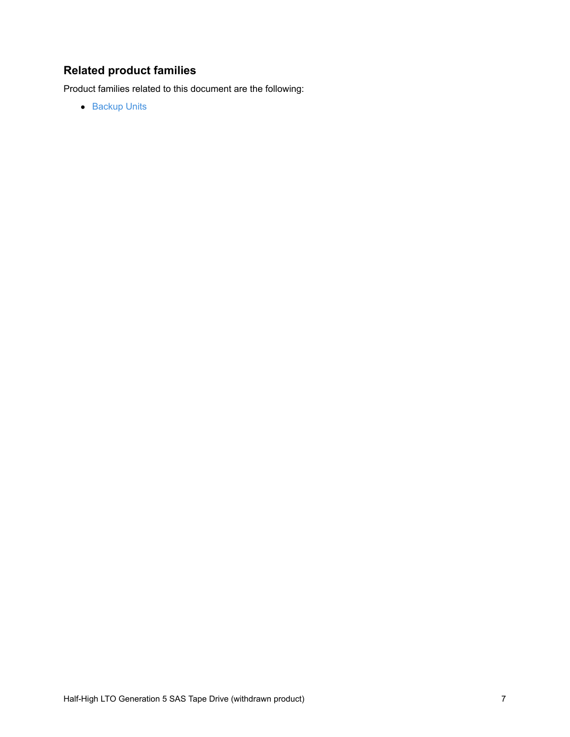## **Related product families**

Product families related to this document are the following:

• [Backup](https://lenovopress.com/servers/options/backup) Units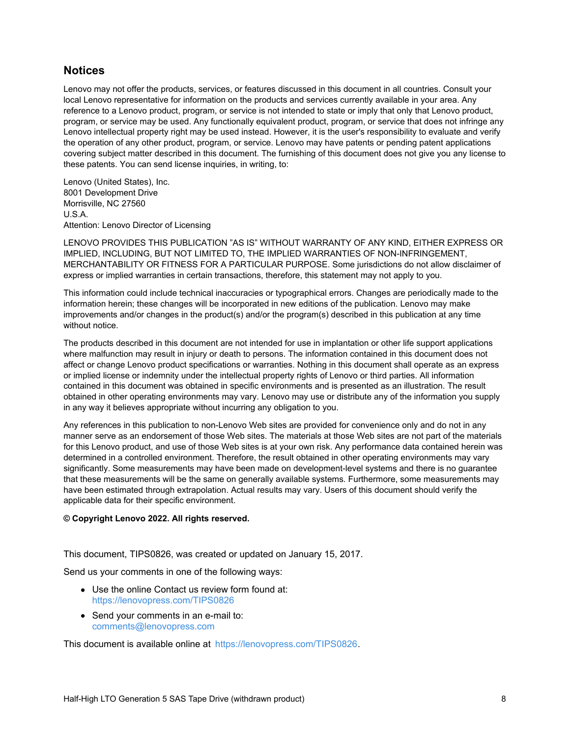### **Notices**

Lenovo may not offer the products, services, or features discussed in this document in all countries. Consult your local Lenovo representative for information on the products and services currently available in your area. Any reference to a Lenovo product, program, or service is not intended to state or imply that only that Lenovo product, program, or service may be used. Any functionally equivalent product, program, or service that does not infringe any Lenovo intellectual property right may be used instead. However, it is the user's responsibility to evaluate and verify the operation of any other product, program, or service. Lenovo may have patents or pending patent applications covering subject matter described in this document. The furnishing of this document does not give you any license to these patents. You can send license inquiries, in writing, to:

Lenovo (United States), Inc. 8001 Development Drive Morrisville, NC 27560 U.S.A. Attention: Lenovo Director of Licensing

LENOVO PROVIDES THIS PUBLICATION "AS IS" WITHOUT WARRANTY OF ANY KIND, EITHER EXPRESS OR IMPLIED, INCLUDING, BUT NOT LIMITED TO, THE IMPLIED WARRANTIES OF NON-INFRINGEMENT, MERCHANTABILITY OR FITNESS FOR A PARTICULAR PURPOSE. Some jurisdictions do not allow disclaimer of express or implied warranties in certain transactions, therefore, this statement may not apply to you.

This information could include technical inaccuracies or typographical errors. Changes are periodically made to the information herein; these changes will be incorporated in new editions of the publication. Lenovo may make improvements and/or changes in the product(s) and/or the program(s) described in this publication at any time without notice.

The products described in this document are not intended for use in implantation or other life support applications where malfunction may result in injury or death to persons. The information contained in this document does not affect or change Lenovo product specifications or warranties. Nothing in this document shall operate as an express or implied license or indemnity under the intellectual property rights of Lenovo or third parties. All information contained in this document was obtained in specific environments and is presented as an illustration. The result obtained in other operating environments may vary. Lenovo may use or distribute any of the information you supply in any way it believes appropriate without incurring any obligation to you.

Any references in this publication to non-Lenovo Web sites are provided for convenience only and do not in any manner serve as an endorsement of those Web sites. The materials at those Web sites are not part of the materials for this Lenovo product, and use of those Web sites is at your own risk. Any performance data contained herein was determined in a controlled environment. Therefore, the result obtained in other operating environments may vary significantly. Some measurements may have been made on development-level systems and there is no guarantee that these measurements will be the same on generally available systems. Furthermore, some measurements may have been estimated through extrapolation. Actual results may vary. Users of this document should verify the applicable data for their specific environment.

#### **© Copyright Lenovo 2022. All rights reserved.**

This document, TIPS0826, was created or updated on January 15, 2017.

Send us your comments in one of the following ways:

- Use the online Contact us review form found at: <https://lenovopress.com/TIPS0826>
- Send your comments in an e-mail to: [comments@lenovopress.com](mailto:comments@lenovopress.com?subject=Feedback for TIPS0826)

This document is available online at <https://lenovopress.com/TIPS0826>.